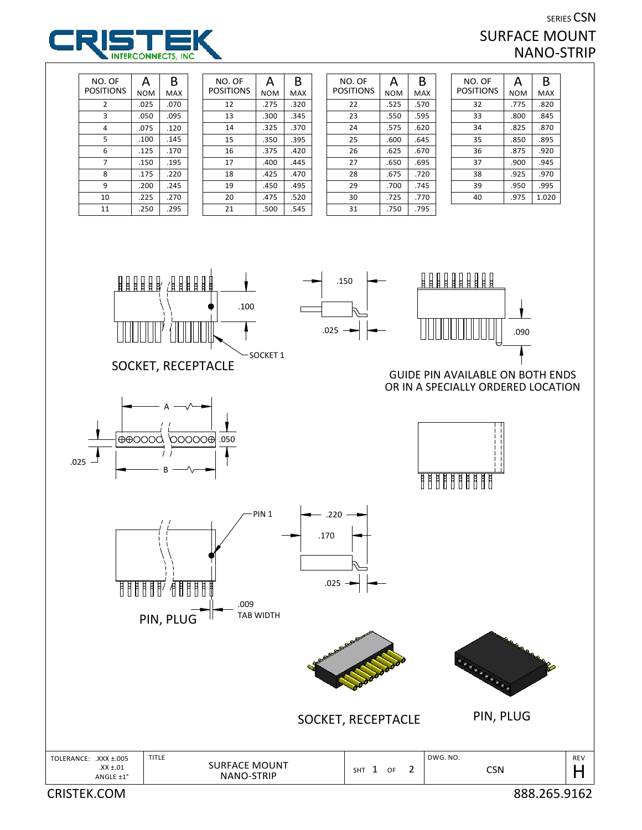

## SERIES CSN SURFACE MOUNT NANO-STRIP